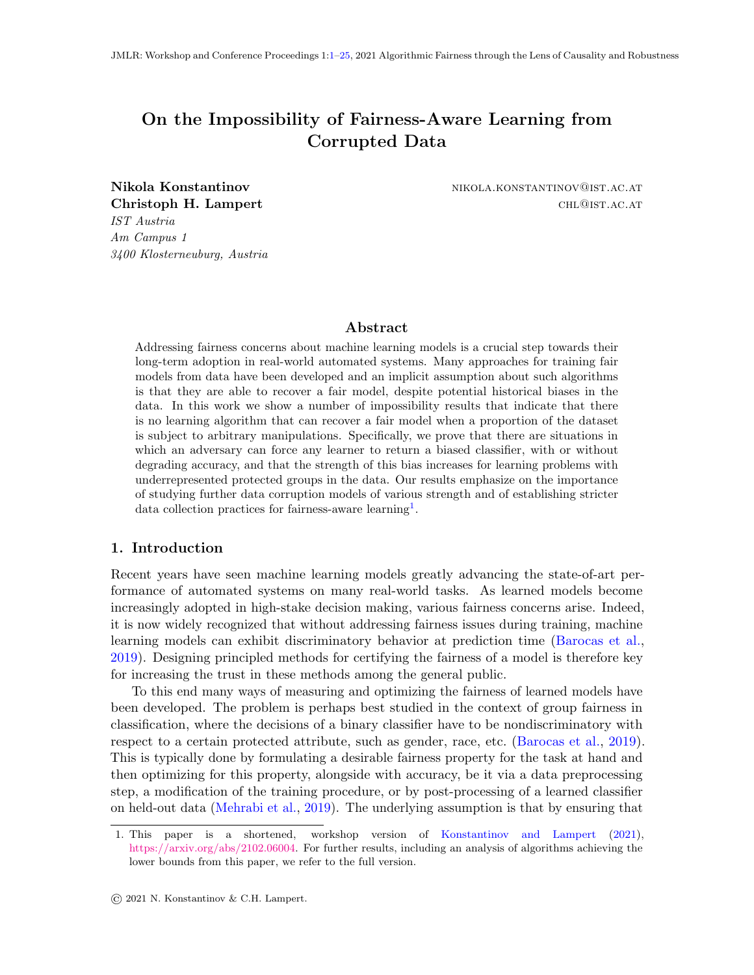# <span id="page-0-0"></span>On the Impossibility of Fairness-Aware Learning from Corrupted Data

IST Austria

Nikola Konstantinov **nikola Konstantinov** nikola.konstantinov@ist.ac.at Christoph H. Lampert Christoph H. Lampert

Am Campus 1 3400 Klosterneuburg, Austria

# Abstract

Addressing fairness concerns about machine learning models is a crucial step towards their long-term adoption in real-world automated systems. Many approaches for training fair models from data have been developed and an implicit assumption about such algorithms is that they are able to recover a fair model, despite potential historical biases in the data. In this work we show a number of impossibility results that indicate that there is no learning algorithm that can recover a fair model when a proportion of the dataset is subject to arbitrary manipulations. Specifically, we prove that there are situations in which an adversary can force any learner to return a biased classifier, with or without degrading accuracy, and that the strength of this bias increases for learning problems with underrepresented protected groups in the data. Our results emphasize on the importance of studying further data corruption models of various strength and of establishing stricter data collection practices for fairness-aware learning<sup>[1](#page-0-1)</sup>.

# 1. Introduction

Recent years have seen machine learning models greatly advancing the state-of-art performance of automated systems on many real-world tasks. As learned models become increasingly adopted in high-stake decision making, various fairness concerns arise. Indeed, it is now widely recognized that without addressing fairness issues during training, machine learning models can exhibit discriminatory behavior at prediction time [\(Barocas et al.,](#page-10-0) [2019\)](#page-10-0). Designing principled methods for certifying the fairness of a model is therefore key for increasing the trust in these methods among the general public.

To this end many ways of measuring and optimizing the fairness of learned models have been developed. The problem is perhaps best studied in the context of group fairness in classification, where the decisions of a binary classifier have to be nondiscriminatory with respect to a certain protected attribute, such as gender, race, etc. [\(Barocas et al.,](#page-10-0) [2019\)](#page-10-0). This is typically done by formulating a desirable fairness property for the task at hand and then optimizing for this property, alongside with accuracy, be it via a data preprocessing step, a modification of the training procedure, or by post-processing of a learned classifier on held-out data [\(Mehrabi et al.,](#page-12-0) [2019\)](#page-12-0). The underlying assumption is that by ensuring that

<span id="page-0-1"></span><sup>1.</sup> This paper is a shortened, workshop version of [Konstantinov and Lampert](#page-12-1) [\(2021\)](#page-12-1), [https://arxiv.org/abs/2102.06004.](https://arxiv.org/abs/2102.06004) For further results, including an analysis of algorithms achieving the lower bounds from this paper, we refer to the full version.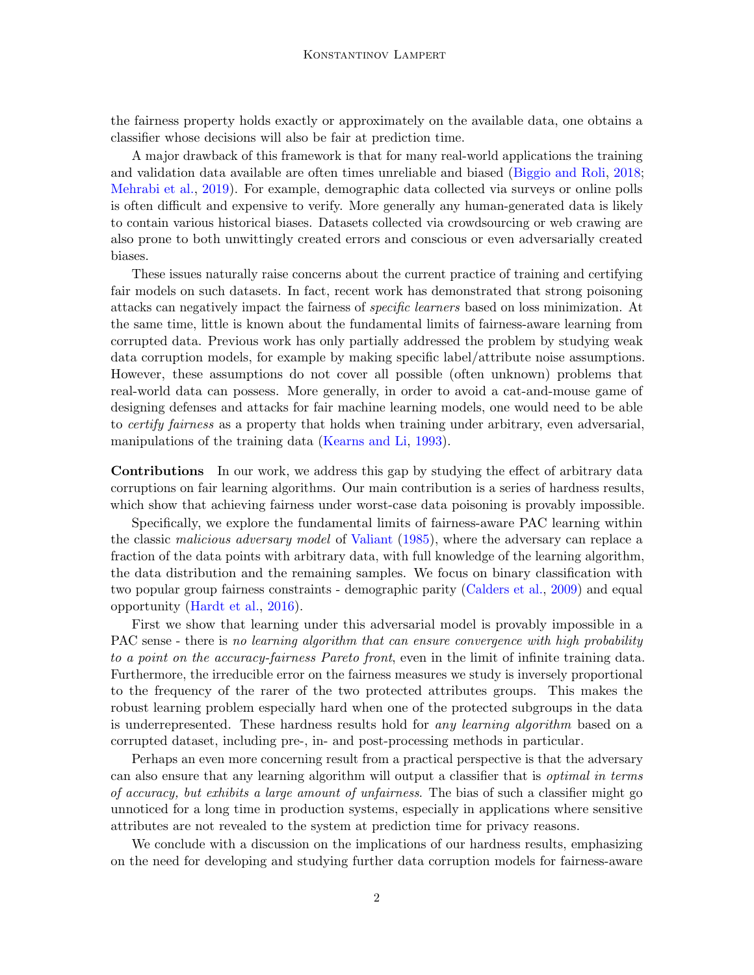the fairness property holds exactly or approximately on the available data, one obtains a classifier whose decisions will also be fair at prediction time.

A major drawback of this framework is that for many real-world applications the training and validation data available are often times unreliable and biased [\(Biggio and Roli,](#page-10-1) [2018;](#page-10-1) [Mehrabi et al.,](#page-12-0) [2019\)](#page-12-0). For example, demographic data collected via surveys or online polls is often difficult and expensive to verify. More generally any human-generated data is likely to contain various historical biases. Datasets collected via crowdsourcing or web crawing are also prone to both unwittingly created errors and conscious or even adversarially created biases.

These issues naturally raise concerns about the current practice of training and certifying fair models on such datasets. In fact, recent work has demonstrated that strong poisoning attacks can negatively impact the fairness of specific learners based on loss minimization. At the same time, little is known about the fundamental limits of fairness-aware learning from corrupted data. Previous work has only partially addressed the problem by studying weak data corruption models, for example by making specific label/attribute noise assumptions. However, these assumptions do not cover all possible (often unknown) problems that real-world data can possess. More generally, in order to avoid a cat-and-mouse game of designing defenses and attacks for fair machine learning models, one would need to be able to *certify fairness* as a property that holds when training under arbitrary, even adversarial, manipulations of the training data [\(Kearns and Li,](#page-11-0) [1993\)](#page-11-0).

Contributions In our work, we address this gap by studying the effect of arbitrary data corruptions on fair learning algorithms. Our main contribution is a series of hardness results, which show that achieving fairness under worst-case data poisoning is provably impossible.

Specifically, we explore the fundamental limits of fairness-aware PAC learning within the classic malicious adversary model of [Valiant](#page-13-0) [\(1985\)](#page-13-0), where the adversary can replace a fraction of the data points with arbitrary data, with full knowledge of the learning algorithm, the data distribution and the remaining samples. We focus on binary classification with two popular group fairness constraints - demographic parity [\(Calders et al.,](#page-10-2) [2009\)](#page-10-2) and equal opportunity [\(Hardt et al.,](#page-11-1) [2016\)](#page-11-1).

First we show that learning under this adversarial model is provably impossible in a PAC sense - there is no learning algorithm that can ensure convergence with high probability to a point on the accuracy-fairness Pareto front, even in the limit of infinite training data. Furthermore, the irreducible error on the fairness measures we study is inversely proportional to the frequency of the rarer of the two protected attributes groups. This makes the robust learning problem especially hard when one of the protected subgroups in the data is underrepresented. These hardness results hold for *any learning algorithm* based on a corrupted dataset, including pre-, in- and post-processing methods in particular.

Perhaps an even more concerning result from a practical perspective is that the adversary can also ensure that any learning algorithm will output a classifier that is optimal in terms of accuracy, but exhibits a large amount of unfairness. The bias of such a classifier might go unnoticed for a long time in production systems, especially in applications where sensitive attributes are not revealed to the system at prediction time for privacy reasons.

We conclude with a discussion on the implications of our hardness results, emphasizing on the need for developing and studying further data corruption models for fairness-aware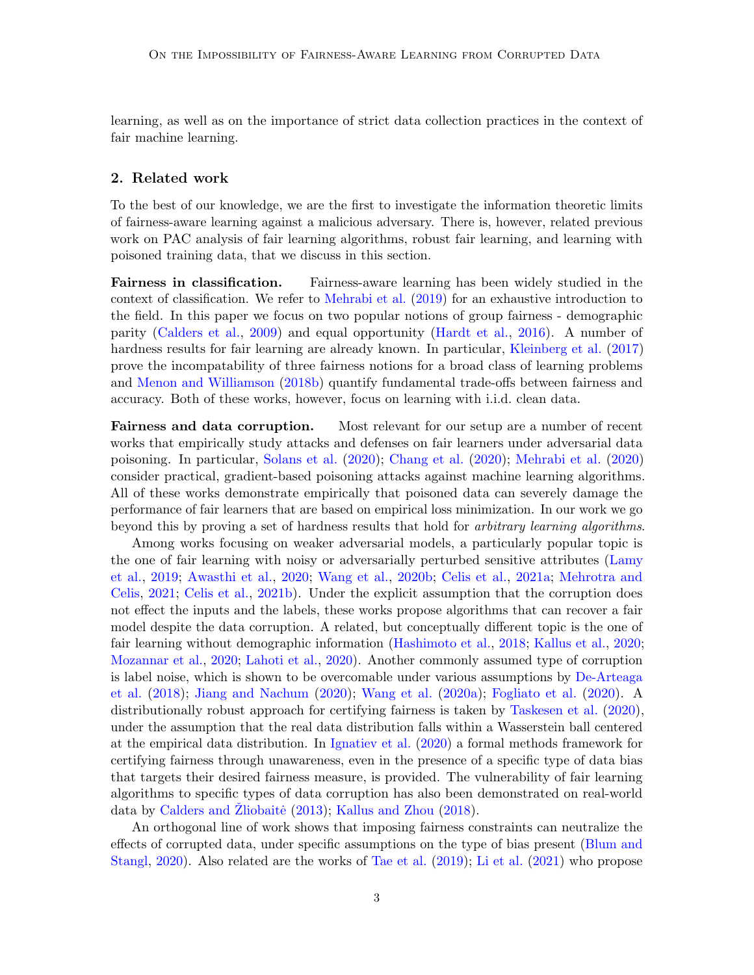learning, as well as on the importance of strict data collection practices in the context of fair machine learning.

## 2. Related work

To the best of our knowledge, we are the first to investigate the information theoretic limits of fairness-aware learning against a malicious adversary. There is, however, related previous work on PAC analysis of fair learning algorithms, robust fair learning, and learning with poisoned training data, that we discuss in this section.

Fairness in classification. Fairness-aware learning has been widely studied in the context of classification. We refer to [Mehrabi et al.](#page-12-0) [\(2019\)](#page-12-0) for an exhaustive introduction to the field. In this paper we focus on two popular notions of group fairness - demographic parity [\(Calders et al.,](#page-10-2) [2009\)](#page-10-2) and equal opportunity [\(Hardt et al.,](#page-11-1) [2016\)](#page-11-1). A number of hardness results for fair learning are already known. In particular, [Kleinberg et al.](#page-12-2) [\(2017\)](#page-12-2) prove the incompatability of three fairness notions for a broad class of learning problems and [Menon and Williamson](#page-12-3) [\(2018b\)](#page-12-3) quantify fundamental trade-offs between fairness and accuracy. Both of these works, however, focus on learning with i.i.d. clean data.

Fairness and data corruption. Most relevant for our setup are a number of recent works that empirically study attacks and defenses on fair learners under adversarial data poisoning. In particular, [Solans et al.](#page-12-4) [\(2020\)](#page-12-4); [Chang et al.](#page-11-2) [\(2020\)](#page-11-2); [Mehrabi et al.](#page-12-5) [\(2020\)](#page-12-5) consider practical, gradient-based poisoning attacks against machine learning algorithms. All of these works demonstrate empirically that poisoned data can severely damage the performance of fair learners that are based on empirical loss minimization. In our work we go beyond this by proving a set of hardness results that hold for arbitrary learning algorithms.

Among works focusing on weaker adversarial models, a particularly popular topic is the one of fair learning with noisy or adversarially perturbed sensitive attributes [\(Lamy](#page-12-6) [et al.,](#page-12-6) [2019;](#page-12-6) [Awasthi et al.,](#page-10-3) [2020;](#page-10-3) [Wang et al.,](#page-13-1) [2020b;](#page-13-1) [Celis et al.,](#page-10-4) [2021a;](#page-10-4) [Mehrotra and](#page-12-7) [Celis,](#page-12-7) [2021;](#page-12-7) [Celis et al.,](#page-10-5) [2021b\)](#page-10-5). Under the explicit assumption that the corruption does not effect the inputs and the labels, these works propose algorithms that can recover a fair model despite the data corruption. A related, but conceptually different topic is the one of fair learning without demographic information [\(Hashimoto et al.,](#page-11-3) [2018;](#page-11-3) [Kallus et al.,](#page-11-4) [2020;](#page-11-4) [Mozannar et al.,](#page-12-8) [2020;](#page-12-8) [Lahoti et al.,](#page-12-9) [2020\)](#page-12-9). Another commonly assumed type of corruption is label noise, which is shown to be overcomable under various assumptions by [De-Arteaga](#page-11-5) [et al.](#page-11-5) [\(2018\)](#page-11-5); [Jiang and Nachum](#page-11-6) [\(2020\)](#page-11-6); [Wang et al.](#page-13-2) [\(2020a\)](#page-13-2); [Fogliato et al.](#page-11-7) [\(2020\)](#page-11-7). A distributionally robust approach for certifying fairness is taken by [Taskesen et al.](#page-13-3) [\(2020\)](#page-13-3), under the assumption that the real data distribution falls within a Wasserstein ball centered at the empirical data distribution. In [Ignatiev et al.](#page-11-8) [\(2020\)](#page-11-8) a formal methods framework for certifying fairness through unawareness, even in the presence of a specific type of data bias that targets their desired fairness measure, is provided. The vulnerability of fair learning algorithms to specific types of data corruption has also been demonstrated on real-world data by [Calders and](#page-10-6) Zliobaite  $(2013)$ ; [Kallus and Zhou](#page-11-9)  $(2018)$ .

An orthogonal line of work shows that imposing fairness constraints can neutralize the effects of corrupted data, under specific assumptions on the type of bias present [\(Blum and](#page-10-7) [Stangl,](#page-10-7) [2020\)](#page-10-7). Also related are the works of [Tae et al.](#page-13-4) [\(2019\)](#page-13-4); [Li et al.](#page-12-10) [\(2021\)](#page-12-10) who propose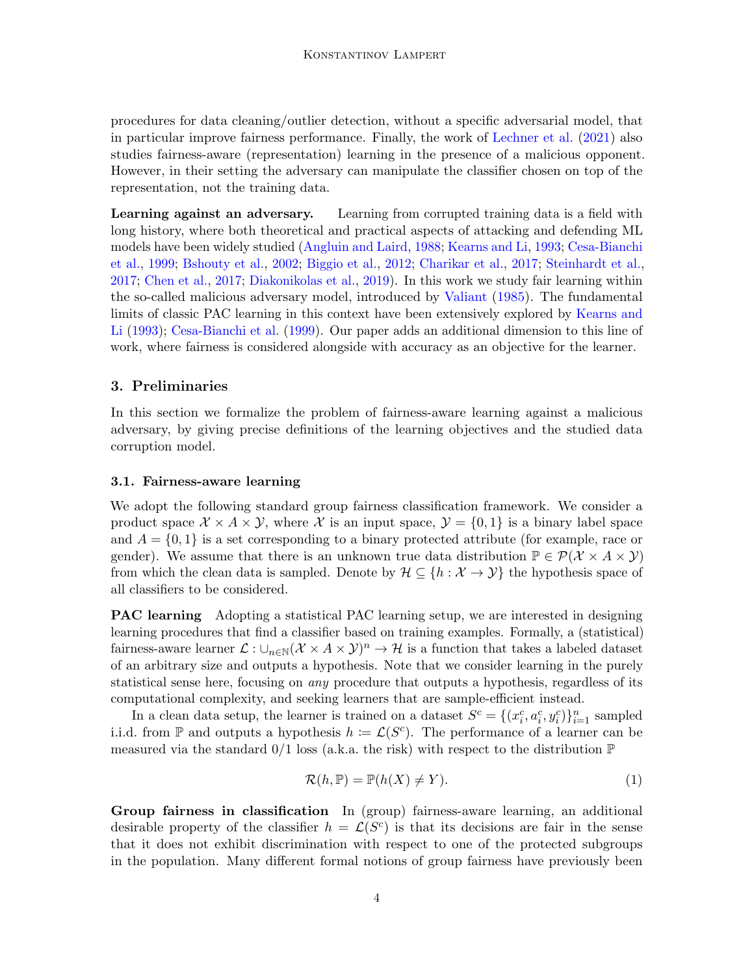procedures for data cleaning/outlier detection, without a specific adversarial model, that in particular improve fairness performance. Finally, the work of [Lechner et al.](#page-12-11) [\(2021\)](#page-12-11) also studies fairness-aware (representation) learning in the presence of a malicious opponent. However, in their setting the adversary can manipulate the classifier chosen on top of the representation, not the training data.

Learning against an adversary. Learning from corrupted training data is a field with long history, where both theoretical and practical aspects of attacking and defending ML models have been widely studied [\(Angluin and Laird,](#page-10-8) [1988;](#page-10-8) [Kearns and Li,](#page-11-0) [1993;](#page-11-0) [Cesa-Bianchi](#page-10-9) [et al.,](#page-10-9) [1999;](#page-10-9) [Bshouty et al.,](#page-10-10) [2002;](#page-10-10) [Biggio et al.,](#page-10-11) [2012;](#page-10-11) [Charikar et al.,](#page-11-10) [2017;](#page-11-10) [Steinhardt et al.,](#page-13-5) [2017;](#page-13-5) [Chen et al.,](#page-11-11) [2017;](#page-11-11) [Diakonikolas et al.,](#page-11-12) [2019\)](#page-11-12). In this work we study fair learning within the so-called malicious adversary model, introduced by [Valiant](#page-13-0) [\(1985\)](#page-13-0). The fundamental limits of classic PAC learning in this context have been extensively explored by [Kearns and](#page-11-0) [Li](#page-11-0) [\(1993\)](#page-11-0); [Cesa-Bianchi et al.](#page-10-9) [\(1999\)](#page-10-9). Our paper adds an additional dimension to this line of work, where fairness is considered alongside with accuracy as an objective for the learner.

# 3. Preliminaries

In this section we formalize the problem of fairness-aware learning against a malicious adversary, by giving precise definitions of the learning objectives and the studied data corruption model.

#### 3.1. Fairness-aware learning

We adopt the following standard group fairness classification framework. We consider a product space  $\mathcal{X} \times A \times \mathcal{Y}$ , where  $\mathcal{X}$  is an input space,  $\mathcal{Y} = \{0, 1\}$  is a binary label space and  $A = \{0, 1\}$  is a set corresponding to a binary protected attribute (for example, race or gender). We assume that there is an unknown true data distribution  $\mathbb{P} \in \mathcal{P}(\mathcal{X} \times A \times \mathcal{Y})$ from which the clean data is sampled. Denote by  $\mathcal{H} \subseteq \{h : \mathcal{X} \to \mathcal{Y}\}\$  the hypothesis space of all classifiers to be considered.

PAC learning Adopting a statistical PAC learning setup, we are interested in designing learning procedures that find a classifier based on training examples. Formally, a (statistical) fairness-aware learner  $\mathcal{L}: \cup_{n\in\mathbb{N}}(\mathcal{X}\times A\times\mathcal{Y})^n\to\mathcal{H}$  is a function that takes a labeled dataset of an arbitrary size and outputs a hypothesis. Note that we consider learning in the purely statistical sense here, focusing on *any* procedure that outputs a hypothesis, regardless of its computational complexity, and seeking learners that are sample-efficient instead.

In a clean data setup, the learner is trained on a dataset  $S^c = \{(x_i^c, a_i^c, y_i^c)\}_{i=1}^n$  sampled i.i.d. from  $\mathbb P$  and outputs a hypothesis  $h := \mathcal L(S^c)$ . The performance of a learner can be measured via the standard  $0/1$  loss (a.k.a. the risk) with respect to the distribution  $\mathbb P$ 

$$
\mathcal{R}(h, \mathbb{P}) = \mathbb{P}(h(X) \neq Y). \tag{1}
$$

Group fairness in classification In (group) fairness-aware learning, an additional desirable property of the classifier  $h = \mathcal{L}(S^c)$  is that its decisions are fair in the sense that it does not exhibit discrimination with respect to one of the protected subgroups in the population. Many different formal notions of group fairness have previously been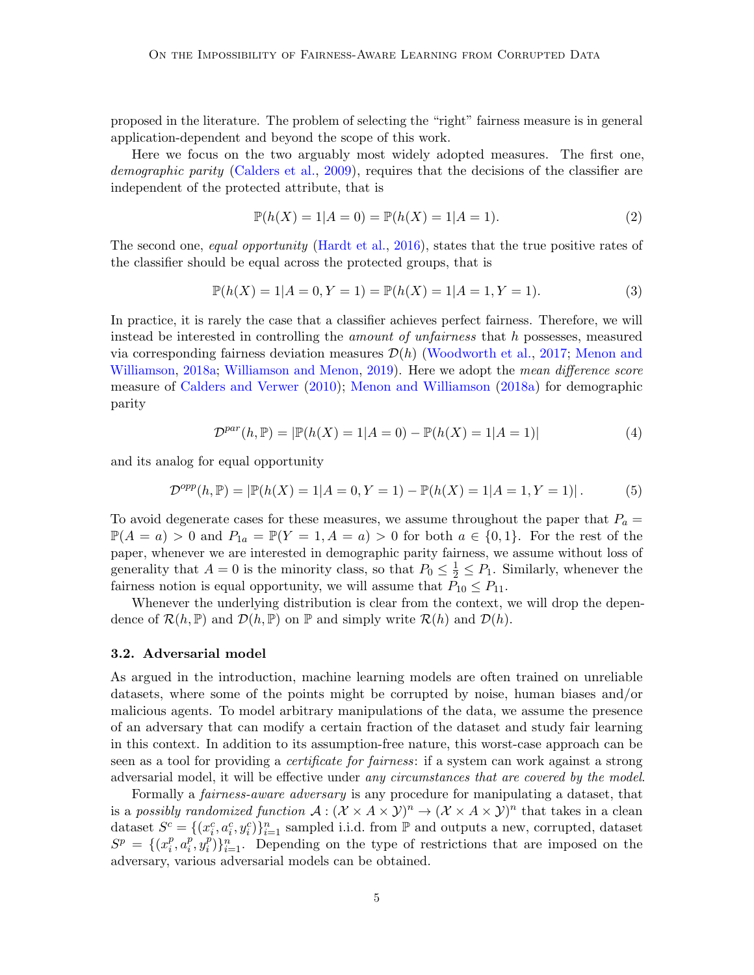proposed in the literature. The problem of selecting the "right" fairness measure is in general application-dependent and beyond the scope of this work.

Here we focus on the two arguably most widely adopted measures. The first one, demographic parity [\(Calders et al.,](#page-10-2) [2009\)](#page-10-2), requires that the decisions of the classifier are independent of the protected attribute, that is

$$
\mathbb{P}(h(X) = 1|A = 0) = \mathbb{P}(h(X) = 1|A = 1).
$$
\n(2)

The second one, *equal opportunity* [\(Hardt et al.,](#page-11-1) [2016\)](#page-11-1), states that the true positive rates of the classifier should be equal across the protected groups, that is

$$
\mathbb{P}(h(X) = 1 | A = 0, Y = 1) = \mathbb{P}(h(X) = 1 | A = 1, Y = 1).
$$
\n(3)

In practice, it is rarely the case that a classifier achieves perfect fairness. Therefore, we will instead be interested in controlling the *amount of unfairness* that h possesses, measured via corresponding fairness deviation measures  $\mathcal{D}(h)$  [\(Woodworth et al.,](#page-13-6) [2017;](#page-13-6) [Menon and](#page-12-12) [Williamson,](#page-12-12) [2018a;](#page-12-12) [Williamson and Menon,](#page-13-7) [2019\)](#page-13-7). Here we adopt the *mean difference score* measure of [Calders and Verwer](#page-10-12) [\(2010\)](#page-10-12); [Menon and Williamson](#page-12-12) [\(2018a\)](#page-12-12) for demographic parity

$$
\mathcal{D}^{par}(h, \mathbb{P}) = |\mathbb{P}(h(X) = 1 | A = 0) - \mathbb{P}(h(X) = 1 | A = 1)| \tag{4}
$$

and its analog for equal opportunity

$$
\mathcal{D}^{opp}(h,\mathbb{P}) = |\mathbb{P}(h(X) = 1|A = 0, Y = 1) - \mathbb{P}(h(X) = 1|A = 1, Y = 1)|.
$$
 (5)

To avoid degenerate cases for these measures, we assume throughout the paper that  $P_a =$  $\mathbb{P}(A = a) > 0$  and  $P_{1a} = \mathbb{P}(Y = 1, A = a) > 0$  for both  $a \in \{0, 1\}$ . For the rest of the paper, whenever we are interested in demographic parity fairness, we assume without loss of generality that  $A = 0$  is the minority class, so that  $P_0 \leq \frac{1}{2} \leq P_1$ . Similarly, whenever the fairness notion is equal opportunity, we will assume that  $P_{10} \leq P_{11}$ .

Whenever the underlying distribution is clear from the context, we will drop the dependence of  $\mathcal{R}(h, \mathbb{P})$  and  $\mathcal{D}(h, \mathbb{P})$  on  $\mathbb P$  and simply write  $\mathcal{R}(h)$  and  $\mathcal{D}(h)$ .

#### 3.2. Adversarial model

As argued in the introduction, machine learning models are often trained on unreliable datasets, where some of the points might be corrupted by noise, human biases and/or malicious agents. To model arbitrary manipulations of the data, we assume the presence of an adversary that can modify a certain fraction of the dataset and study fair learning in this context. In addition to its assumption-free nature, this worst-case approach can be seen as a tool for providing a certificate for fairness: if a system can work against a strong adversarial model, it will be effective under any circumstances that are covered by the model.

Formally a fairness-aware adversary is any procedure for manipulating a dataset, that is a possibly randomized function  $\mathcal{A}: (\mathcal{X} \times A \times \mathcal{Y})^n \to (\mathcal{X} \times A \times \mathcal{Y})^n$  that takes in a clean dataset  $S^c = \{(x_i^c, a_i^c, y_i^c)\}_{i=1}^n$  sampled i.i.d. from  $\mathbb P$  and outputs a new, corrupted, dataset  $S^p = \{(x_i^p)$  $_i^p, a_i^p$  $\stackrel{p}{i},y_{i}^{p}$  $\{f_i\}_{i=1}^n$ . Depending on the type of restrictions that are imposed on the adversary, various adversarial models can be obtained.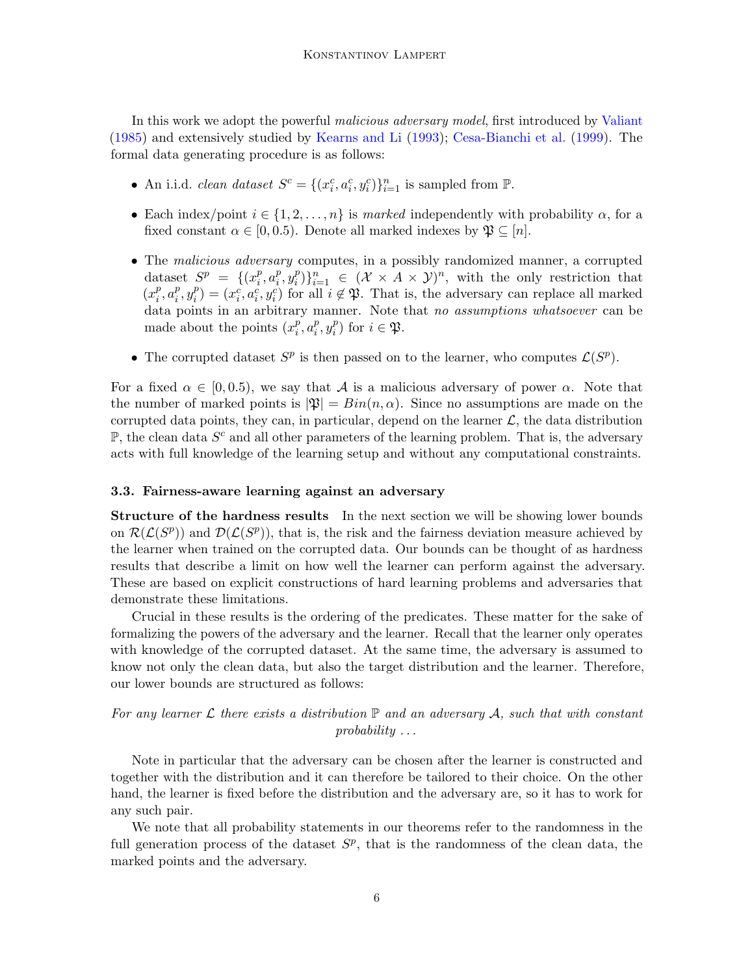In this work we adopt the powerful malicious adversary model, first introduced by [Valiant](#page-13-0) [\(1985\)](#page-13-0) and extensively studied by [Kearns and Li](#page-11-0) [\(1993\)](#page-11-0); [Cesa-Bianchi et al.](#page-10-9) [\(1999\)](#page-10-9). The formal data generating procedure is as follows:

- An i.i.d. *clean dataset*  $S^c = \{(x_i^c, a_i^c, y_i^c)\}_{i=1}^n$  is sampled from  $\mathbb{P}$ .
- Each index/point  $i \in \{1, 2, ..., n\}$  is marked independently with probability  $\alpha$ , for a fixed constant  $\alpha \in [0, 0.5)$ . Denote all marked indexes by  $\mathfrak{P} \subseteq [n]$ .
- The malicious adversary computes, in a possibly randomized manner, a corrupted dataset  $S^p = \{(x_i^p)$  $_i^p, a_i^p$  $_i^p, y_i^p$  $\{f_i\}_{i=1}^n \in (\mathcal{X} \times A \times \mathcal{Y})^n$ , with the only restriction that  $(x_i^p)$  $_i^p, a_i^p$  $_i^p, y_i^p$  $\hat{p}_i^p$  =  $(x_i^c, a_i^c, y_i^c)$  for all  $i \notin \mathfrak{P}$ . That is, the adversary can replace all marked data points in an arbitrary manner. Note that no assumptions whatsoever can be made about the points  $(x_i^p)$  $\overline{p}_i^p, a_i^p$  $_i^p, y_i^p$  $i^p$ ) for  $i \in \mathfrak{P}$ .
- The corrupted dataset  $S^p$  is then passed on to the learner, who computes  $\mathcal{L}(S^p)$ .

For a fixed  $\alpha \in [0, 0.5)$ , we say that A is a malicious adversary of power  $\alpha$ . Note that the number of marked points is  $|\mathfrak{P}| = Bin(n, \alpha)$ . Since no assumptions are made on the corrupted data points, they can, in particular, depend on the learner  $\mathcal{L}$ , the data distribution  $\mathbb{P}$ , the clean data  $S<sup>c</sup>$  and all other parameters of the learning problem. That is, the adversary acts with full knowledge of the learning setup and without any computational constraints.

#### <span id="page-5-0"></span>3.3. Fairness-aware learning against an adversary

**Structure of the hardness results** In the next section we will be showing lower bounds on  $\mathcal{R}(\mathcal{L}(S^p))$  and  $\mathcal{D}(\mathcal{L}(S^p))$ , that is, the risk and the fairness deviation measure achieved by the learner when trained on the corrupted data. Our bounds can be thought of as hardness results that describe a limit on how well the learner can perform against the adversary. These are based on explicit constructions of hard learning problems and adversaries that demonstrate these limitations.

Crucial in these results is the ordering of the predicates. These matter for the sake of formalizing the powers of the adversary and the learner. Recall that the learner only operates with knowledge of the corrupted dataset. At the same time, the adversary is assumed to know not only the clean data, but also the target distribution and the learner. Therefore, our lower bounds are structured as follows:

# For any learner  $\mathcal L$  there exists a distribution  $\mathbb P$  and an adversary  $\mathcal A$ , such that with constant  $probability...$

Note in particular that the adversary can be chosen after the learner is constructed and together with the distribution and it can therefore be tailored to their choice. On the other hand, the learner is fixed before the distribution and the adversary are, so it has to work for any such pair.

We note that all probability statements in our theorems refer to the randomness in the full generation process of the dataset  $S<sup>p</sup>$ , that is the randomness of the clean data, the marked points and the adversary.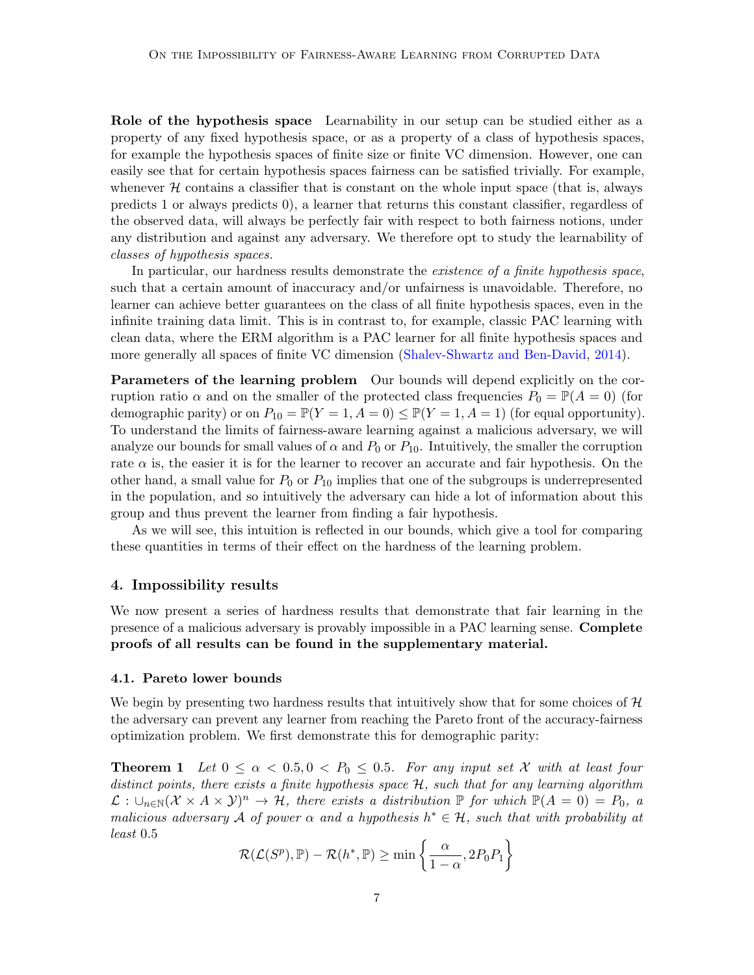Role of the hypothesis space Learnability in our setup can be studied either as a property of any fixed hypothesis space, or as a property of a class of hypothesis spaces, for example the hypothesis spaces of finite size or finite VC dimension. However, one can easily see that for certain hypothesis spaces fairness can be satisfied trivially. For example, whenever  $\mathcal H$  contains a classifier that is constant on the whole input space (that is, always predicts 1 or always predicts 0), a learner that returns this constant classifier, regardless of the observed data, will always be perfectly fair with respect to both fairness notions, under any distribution and against any adversary. We therefore opt to study the learnability of classes of hypothesis spaces.

In particular, our hardness results demonstrate the existence of a finite hypothesis space, such that a certain amount of inaccuracy and/or unfairness is unavoidable. Therefore, no learner can achieve better guarantees on the class of all finite hypothesis spaces, even in the infinite training data limit. This is in contrast to, for example, classic PAC learning with clean data, where the ERM algorithm is a PAC learner for all finite hypothesis spaces and more generally all spaces of finite VC dimension [\(Shalev-Shwartz and Ben-David,](#page-12-13) [2014\)](#page-12-13).

Parameters of the learning problem Our bounds will depend explicitly on the corruption ratio  $\alpha$  and on the smaller of the protected class frequencies  $P_0 = \mathbb{P}(A = 0)$  (for demographic parity) or on  $P_{10} = \mathbb{P}(Y = 1, A = 0) \leq \mathbb{P}(Y = 1, A = 1)$  (for equal opportunity). To understand the limits of fairness-aware learning against a malicious adversary, we will analyze our bounds for small values of  $\alpha$  and  $P_0$  or  $P_{10}$ . Intuitively, the smaller the corruption rate  $\alpha$  is, the easier it is for the learner to recover an accurate and fair hypothesis. On the other hand, a small value for  $P_0$  or  $P_{10}$  implies that one of the subgroups is underrepresented in the population, and so intuitively the adversary can hide a lot of information about this group and thus prevent the learner from finding a fair hypothesis.

As we will see, this intuition is reflected in our bounds, which give a tool for comparing these quantities in terms of their effect on the hardness of the learning problem.

#### 4. Impossibility results

We now present a series of hardness results that demonstrate that fair learning in the presence of a malicious adversary is provably impossible in a PAC learning sense. Complete proofs of all results can be found in the supplementary material.

#### 4.1. Pareto lower bounds

We begin by presenting two hardness results that intuitively show that for some choices of  $\mathcal{H}$ the adversary can prevent any learner from reaching the Pareto front of the accuracy-fairness optimization problem. We first demonstrate this for demographic parity:

<span id="page-6-0"></span>**Theorem 1** Let  $0 \le \alpha < 0.5, 0 < P_0 \le 0.5$ . For any input set X with at least four distinct points, there exists a finite hypothesis space  $H$ , such that for any learning algorithm  $\mathcal{L}: \bigcup_{n\in\mathbb{N}}(\mathcal{X}\times A\times\mathcal{Y})^n\to\mathcal{H}$ , there exists a distribution  $\mathbb{P}$  for which  $\mathbb{P}(A=0)=P_0$ , a malicious adversary A of power  $\alpha$  and a hypothesis  $h^* \in \mathcal{H}$ , such that with probability at least 0.5

$$
\mathcal{R}(\mathcal{L}(S^{p}), \mathbb{P}) - \mathcal{R}(h^{*}, \mathbb{P}) \ge \min\left\{\frac{\alpha}{1-\alpha}, 2P_0P_1\right\}
$$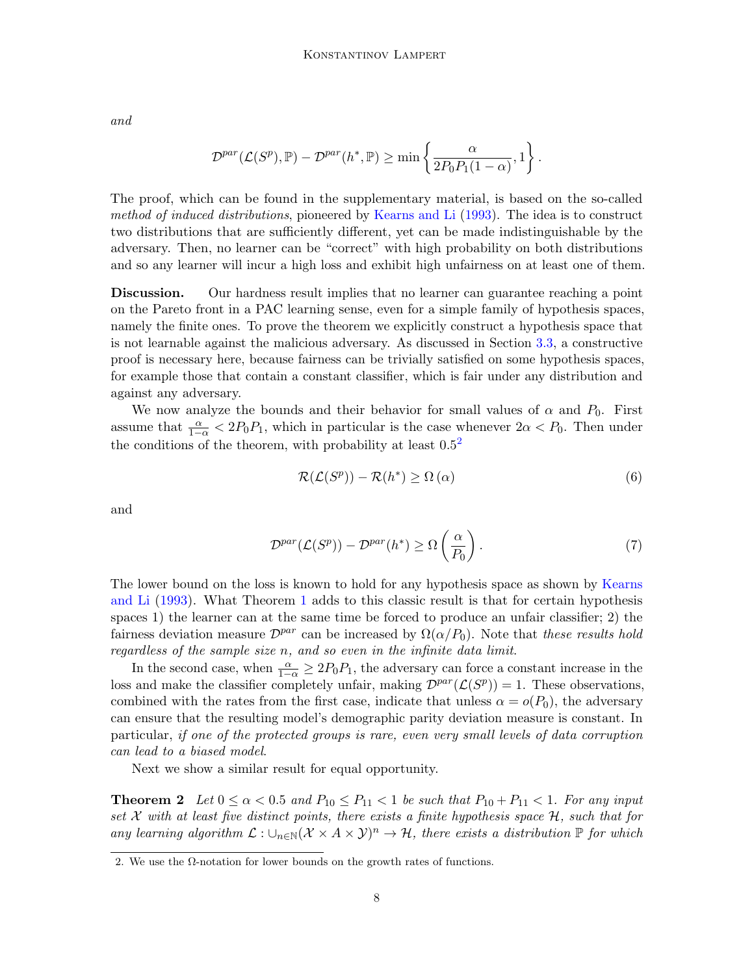and

$$
\mathcal{D}^{par}(\mathcal{L}(S^p), \mathbb{P}) - \mathcal{D}^{par}(h^*, \mathbb{P}) \ge \min\left\{\frac{\alpha}{2P_0P_1(1-\alpha)}, 1\right\}.
$$

The proof, which can be found in the supplementary material, is based on the so-called method of induced distributions, pioneered by [Kearns and Li](#page-11-0) [\(1993\)](#page-11-0). The idea is to construct two distributions that are sufficiently different, yet can be made indistinguishable by the adversary. Then, no learner can be "correct" with high probability on both distributions and so any learner will incur a high loss and exhibit high unfairness on at least one of them.

Discussion. Our hardness result implies that no learner can guarantee reaching a point on the Pareto front in a PAC learning sense, even for a simple family of hypothesis spaces, namely the finite ones. To prove the theorem we explicitly construct a hypothesis space that is not learnable against the malicious adversary. As discussed in Section [3.3,](#page-5-0) a constructive proof is necessary here, because fairness can be trivially satisfied on some hypothesis spaces, for example those that contain a constant classifier, which is fair under any distribution and against any adversary.

We now analyze the bounds and their behavior for small values of  $\alpha$  and  $P_0$ . First assume that  $\frac{\alpha}{1-\alpha} < 2P_0P_1$ , which in particular is the case whenever  $2\alpha < P_0$ . Then under the conditions of the theorem, with probability at least  $0.5<sup>2</sup>$  $0.5<sup>2</sup>$  $0.5<sup>2</sup>$ 

$$
\mathcal{R}(\mathcal{L}(S^p)) - \mathcal{R}(h^*) \ge \Omega(\alpha)
$$
\n(6)

and

$$
\mathcal{D}^{par}(\mathcal{L}(S^p)) - \mathcal{D}^{par}(h^*) \ge \Omega\left(\frac{\alpha}{P_0}\right). \tag{7}
$$

The lower bound on the loss is known to hold for any hypothesis space as shown by [Kearns](#page-11-0) [and Li](#page-11-0) [\(1993\)](#page-11-0). What Theorem [1](#page-6-0) adds to this classic result is that for certain hypothesis spaces 1) the learner can at the same time be forced to produce an unfair classifier; 2) the fairness deviation measure  $\mathcal{D}^{par}$  can be increased by  $\Omega(\alpha/P_0)$ . Note that these results hold regardless of the sample size n, and so even in the infinite data limit.

In the second case, when  $\frac{\alpha}{1-\alpha} \geq 2P_0P_1$ , the adversary can force a constant increase in the loss and make the classifier completely unfair, making  $\mathcal{D}^{par}(\mathcal{L}(S^p)) = 1$ . These observations, combined with the rates from the first case, indicate that unless  $\alpha = o(P_0)$ , the adversary can ensure that the resulting model's demographic parity deviation measure is constant. In particular, if one of the protected groups is rare, even very small levels of data corruption can lead to a biased model.

Next we show a similar result for equal opportunity.

**Theorem 2** Let  $0 \le \alpha < 0.5$  and  $P_{10} \le P_{11} < 1$  be such that  $P_{10} + P_{11} < 1$ . For any input set  $\mathcal X$  with at least five distinct points, there exists a finite hypothesis space  $\mathcal H$ , such that for any learning algorithm  $\mathcal{L}: \cup_{n\in\mathbb{N}}(\mathcal{X}\times A\times \mathcal{Y})^n\to \mathcal{H}$ , there exists a distribution  $\mathbb P$  for which

<span id="page-7-0"></span><sup>2.</sup> We use the Ω-notation for lower bounds on the growth rates of functions.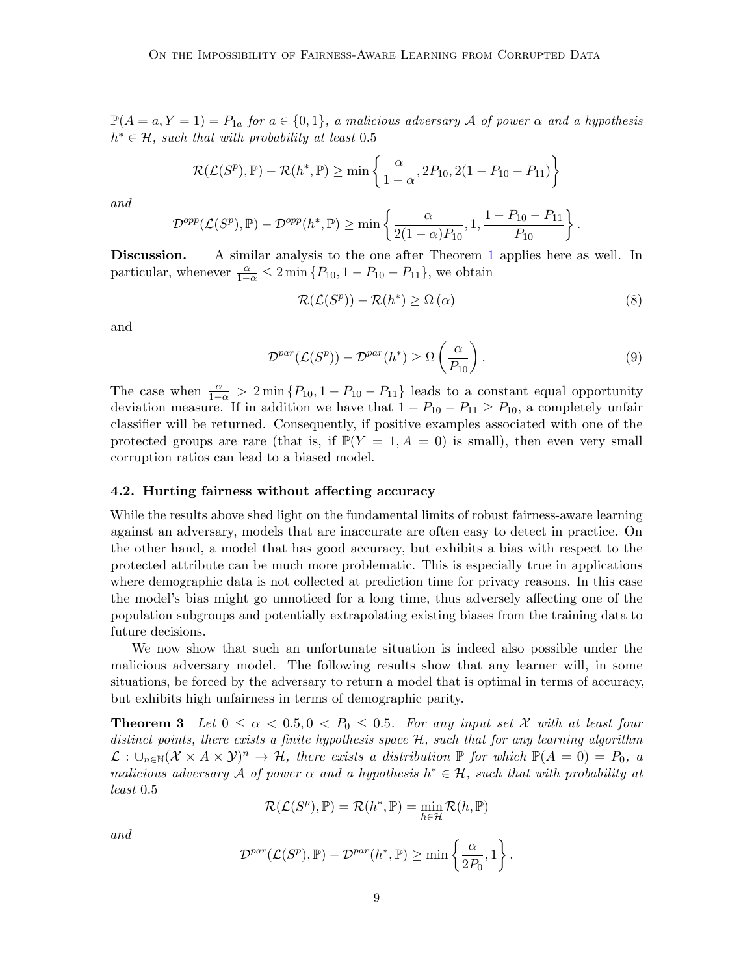$\mathbb{P}(A=a, Y=1) = P_{1a}$  for  $a \in \{0,1\}$ , a malicious adversary A of power  $\alpha$  and a hypothesis  $h^* \in \mathcal{H}$ , such that with probability at least 0.5

$$
\mathcal{R}(\mathcal{L}(S^p), \mathbb{P}) - \mathcal{R}(h^*, \mathbb{P}) \ge \min\left\{\frac{\alpha}{1-\alpha}, 2P_{10}, 2(1-P_{10}-P_{11})\right\}
$$

and

$$
\mathcal{D}^{opp}(\mathcal{L}(S^p), \mathbb{P}) - \mathcal{D}^{opp}(h^*, \mathbb{P}) \ge \min\left\{\frac{\alpha}{2(1-\alpha)P_{10}}, 1, \frac{1-P_{10}-P_{11}}{P_{10}}\right\}.
$$

Discussion. A similar analysis to the one after Theorem [1](#page-6-0) applies here as well. In particular, whenever  $\frac{\alpha}{1-\alpha} \leq 2 \min \{P_{10}, 1-P_{10}-P_{11}\}$ , we obtain

$$
\mathcal{R}(\mathcal{L}(S^p)) - \mathcal{R}(h^*) \ge \Omega(\alpha)
$$
\n(8)

and

$$
\mathcal{D}^{par}(\mathcal{L}(S^p)) - \mathcal{D}^{par}(h^*) \ge \Omega\left(\frac{\alpha}{P_{10}}\right). \tag{9}
$$

The case when  $\frac{\alpha}{1-\alpha} > 2 \min \{P_{10}, 1-P_{10}-P_{11}\}\$  leads to a constant equal opportunity deviation measure. If in addition we have that  $1 - P_{10} - P_{11} \ge P_{10}$ , a completely unfair classifier will be returned. Consequently, if positive examples associated with one of the protected groups are rare (that is, if  $\mathbb{P}(Y = 1, A = 0)$  is small), then even very small corruption ratios can lead to a biased model.

#### 4.2. Hurting fairness without affecting accuracy

While the results above shed light on the fundamental limits of robust fairness-aware learning against an adversary, models that are inaccurate are often easy to detect in practice. On the other hand, a model that has good accuracy, but exhibits a bias with respect to the protected attribute can be much more problematic. This is especially true in applications where demographic data is not collected at prediction time for privacy reasons. In this case the model's bias might go unnoticed for a long time, thus adversely affecting one of the population subgroups and potentially extrapolating existing biases from the training data to future decisions.

We now show that such an unfortunate situation is indeed also possible under the malicious adversary model. The following results show that any learner will, in some situations, be forced by the adversary to return a model that is optimal in terms of accuracy, but exhibits high unfairness in terms of demographic parity.

**Theorem 3** Let  $0 \le \alpha < 0.5, 0 < P_0 \le 0.5$ . For any input set X with at least four distinct points, there exists a finite hypothesis space H, such that for any learning algorithm  $\mathcal{L}: \bigcup_{n\in\mathbb{N}}(\mathcal{X}\times A\times\mathcal{Y})^n\to\mathcal{H}$ , there exists a distribution  $\mathbb{P}$  for which  $\mathbb{P}(A=0)=P_0$ , a malicious adversary A of power  $\alpha$  and a hypothesis  $h^* \in \mathcal{H}$ , such that with probability at least 0.5

$$
\mathcal{R}(\mathcal{L}(S^{p}), \mathbb{P}) = \mathcal{R}(h^{*}, \mathbb{P}) = \min_{h \in \mathcal{H}} \mathcal{R}(h, \mathbb{P})
$$

and

$$
\mathcal{D}^{par}(\mathcal{L}(S^p), \mathbb{P}) - \mathcal{D}^{par}(h^*, \mathbb{P}) \ge \min\left\{\frac{\alpha}{2P_0}, 1\right\}.
$$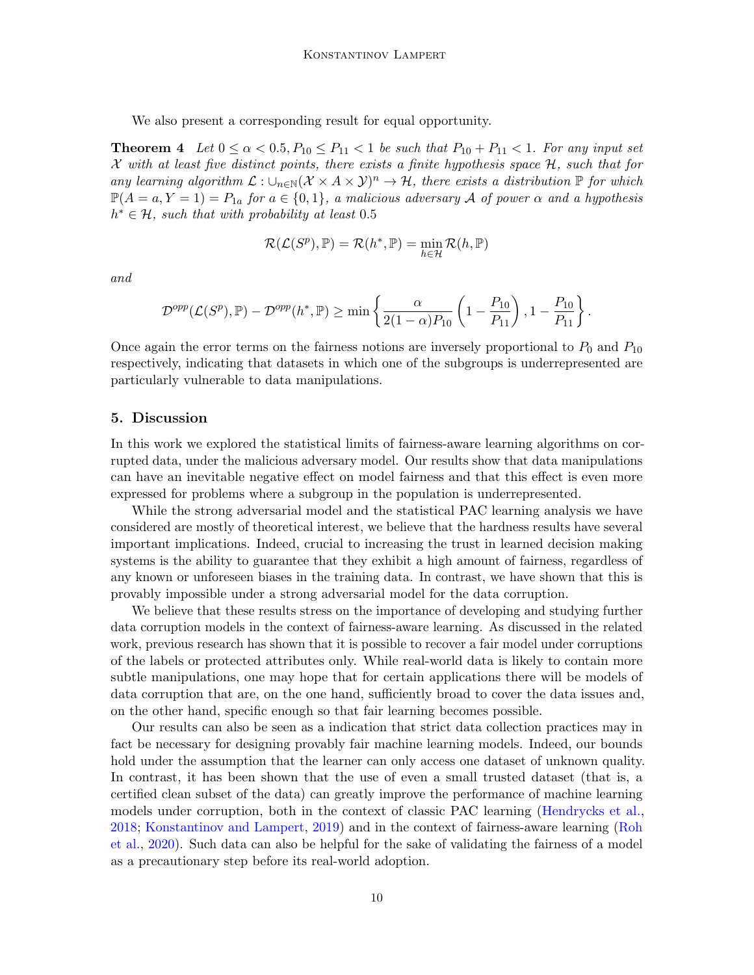We also present a corresponding result for equal opportunity.

**Theorem 4** Let  $0 \le \alpha < 0.5$ ,  $P_{10} \le P_{11} < 1$  be such that  $P_{10} + P_{11} < 1$ . For any input set  $X$  with at least five distinct points, there exists a finite hypothesis space  $H$ , such that for any learning algorithm  $\mathcal{L}: \cup_{n\in\mathbb{N}}(\mathcal{X}\times A\times\mathcal{Y})^n\to\mathcal{H}$ , there exists a distribution  $\mathbb P$  for which  $\mathbb{P}(A=a, Y=1) = P_{1a}$  for  $a \in \{0,1\}$ , a malicious adversary A of power  $\alpha$  and a hypothesis  $h^* \in \mathcal{H}$ , such that with probability at least 0.5

$$
\mathcal{R}(\mathcal{L}(S^{p}), \mathbb{P}) = \mathcal{R}(h^{*}, \mathbb{P}) = \min_{h \in \mathcal{H}} \mathcal{R}(h, \mathbb{P})
$$

and

$$
\mathcal{D}^{opp}(\mathcal{L}(S^p), \mathbb{P}) - \mathcal{D}^{opp}(h^*, \mathbb{P}) \ge \min\left\{\frac{\alpha}{2(1-\alpha)P_{10}}\left(1 - \frac{P_{10}}{P_{11}}\right), 1 - \frac{P_{10}}{P_{11}}\right\}.
$$

Once again the error terms on the fairness notions are inversely proportional to  $P_0$  and  $P_{10}$ respectively, indicating that datasets in which one of the subgroups is underrepresented are particularly vulnerable to data manipulations.

#### 5. Discussion

In this work we explored the statistical limits of fairness-aware learning algorithms on corrupted data, under the malicious adversary model. Our results show that data manipulations can have an inevitable negative effect on model fairness and that this effect is even more expressed for problems where a subgroup in the population is underrepresented.

While the strong adversarial model and the statistical PAC learning analysis we have considered are mostly of theoretical interest, we believe that the hardness results have several important implications. Indeed, crucial to increasing the trust in learned decision making systems is the ability to guarantee that they exhibit a high amount of fairness, regardless of any known or unforeseen biases in the training data. In contrast, we have shown that this is provably impossible under a strong adversarial model for the data corruption.

We believe that these results stress on the importance of developing and studying further data corruption models in the context of fairness-aware learning. As discussed in the related work, previous research has shown that it is possible to recover a fair model under corruptions of the labels or protected attributes only. While real-world data is likely to contain more subtle manipulations, one may hope that for certain applications there will be models of data corruption that are, on the one hand, sufficiently broad to cover the data issues and, on the other hand, specific enough so that fair learning becomes possible.

Our results can also be seen as a indication that strict data collection practices may in fact be necessary for designing provably fair machine learning models. Indeed, our bounds hold under the assumption that the learner can only access one dataset of unknown quality. In contrast, it has been shown that the use of even a small trusted dataset (that is, a certified clean subset of the data) can greatly improve the performance of machine learning models under corruption, both in the context of classic PAC learning [\(Hendrycks et al.,](#page-11-13) [2018;](#page-11-13) [Konstantinov and Lampert,](#page-12-14) [2019\)](#page-12-14) and in the context of fairness-aware learning [\(Roh](#page-12-15) [et al.,](#page-12-15) [2020\)](#page-12-15). Such data can also be helpful for the sake of validating the fairness of a model as a precautionary step before its real-world adoption.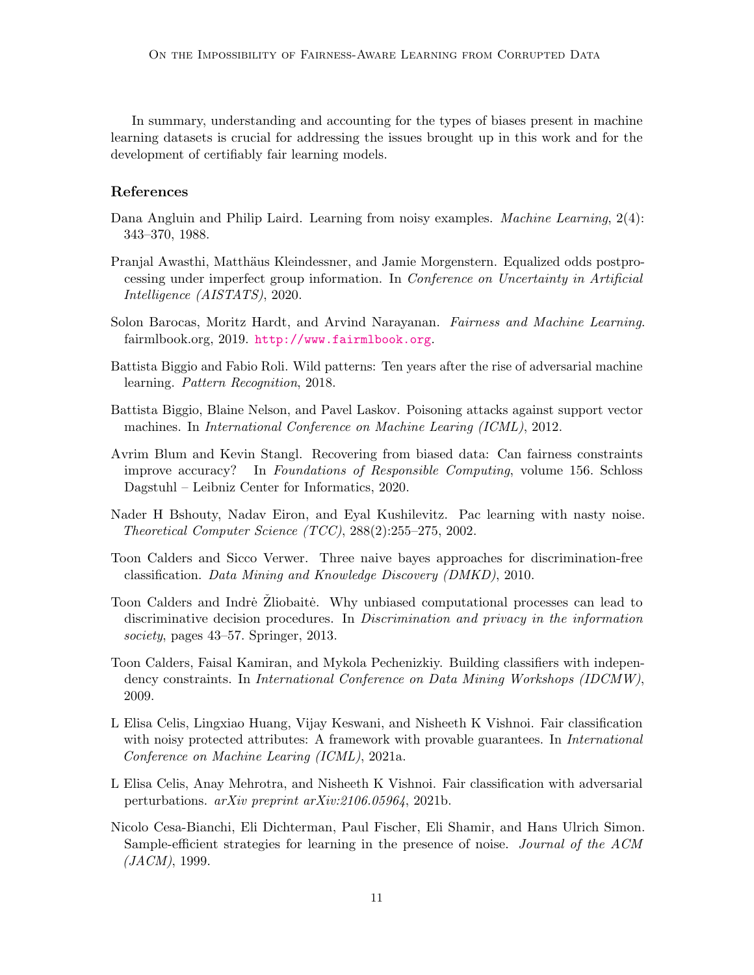In summary, understanding and accounting for the types of biases present in machine learning datasets is crucial for addressing the issues brought up in this work and for the development of certifiably fair learning models.

# References

- <span id="page-10-8"></span>Dana Angluin and Philip Laird. Learning from noisy examples. Machine Learning, 2(4): 343–370, 1988.
- <span id="page-10-3"></span>Pranjal Awasthi, Matthäus Kleindessner, and Jamie Morgenstern. Equalized odds postprocessing under imperfect group information. In Conference on Uncertainty in Artificial Intelligence (AISTATS), 2020.
- <span id="page-10-0"></span>Solon Barocas, Moritz Hardt, and Arvind Narayanan. Fairness and Machine Learning. fairmlbook.org, 2019. <http://www.fairmlbook.org>.
- <span id="page-10-1"></span>Battista Biggio and Fabio Roli. Wild patterns: Ten years after the rise of adversarial machine learning. Pattern Recognition, 2018.
- <span id="page-10-11"></span>Battista Biggio, Blaine Nelson, and Pavel Laskov. Poisoning attacks against support vector machines. In International Conference on Machine Learing (ICML), 2012.
- <span id="page-10-7"></span>Avrim Blum and Kevin Stangl. Recovering from biased data: Can fairness constraints improve accuracy? In Foundations of Responsible Computing, volume 156. Schloss Dagstuhl – Leibniz Center for Informatics, 2020.
- <span id="page-10-10"></span>Nader H Bshouty, Nadav Eiron, and Eyal Kushilevitz. Pac learning with nasty noise. Theoretical Computer Science (TCC), 288(2):255–275, 2002.
- <span id="page-10-12"></span>Toon Calders and Sicco Verwer. Three naive bayes approaches for discrimination-free classification. Data Mining and Knowledge Discovery (DMKD), 2010.
- <span id="page-10-6"></span>Toon Calders and Indre Zliobaite. Why unbiased computational processes can lead to discriminative decision procedures. In Discrimination and privacy in the information society, pages 43–57. Springer, 2013.
- <span id="page-10-2"></span>Toon Calders, Faisal Kamiran, and Mykola Pechenizkiy. Building classifiers with independency constraints. In International Conference on Data Mining Workshops (IDCMW), 2009.
- <span id="page-10-4"></span>L Elisa Celis, Lingxiao Huang, Vijay Keswani, and Nisheeth K Vishnoi. Fair classification with noisy protected attributes: A framework with provable guarantees. In *International* Conference on Machine Learing (ICML), 2021a.
- <span id="page-10-5"></span>L Elisa Celis, Anay Mehrotra, and Nisheeth K Vishnoi. Fair classification with adversarial perturbations. arXiv preprint arXiv:2106.05964, 2021b.
- <span id="page-10-9"></span>Nicolo Cesa-Bianchi, Eli Dichterman, Paul Fischer, Eli Shamir, and Hans Ulrich Simon. Sample-efficient strategies for learning in the presence of noise. Journal of the ACM  $(JACM)$ , 1999.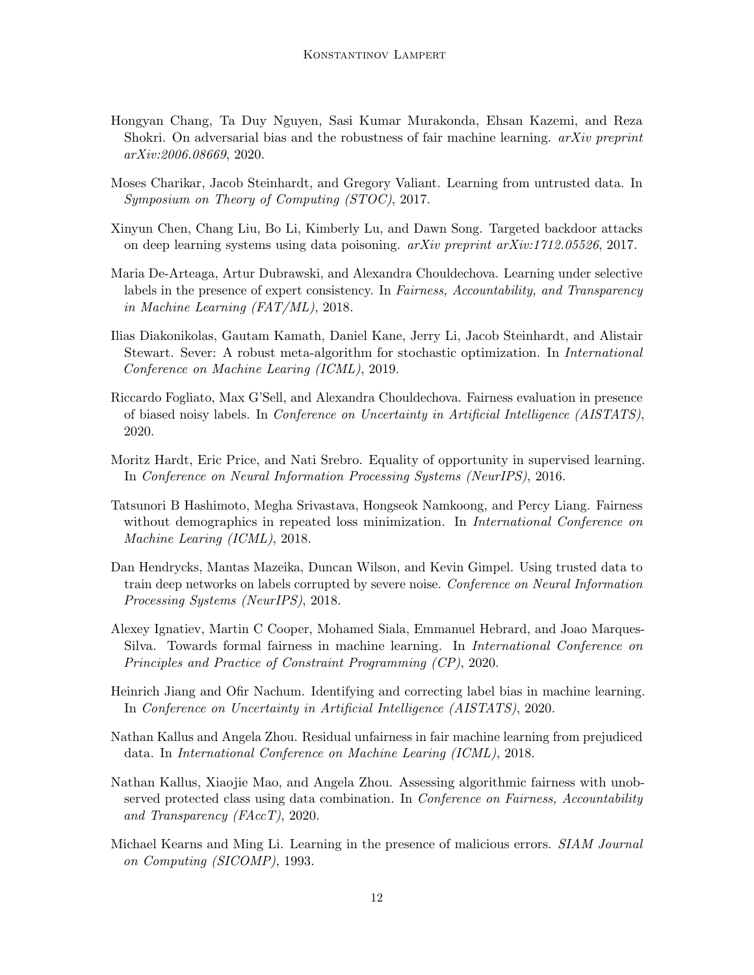- <span id="page-11-2"></span>Hongyan Chang, Ta Duy Nguyen, Sasi Kumar Murakonda, Ehsan Kazemi, and Reza Shokri. On adversarial bias and the robustness of fair machine learning.  $arXiv$  preprint arXiv:2006.08669, 2020.
- <span id="page-11-10"></span>Moses Charikar, Jacob Steinhardt, and Gregory Valiant. Learning from untrusted data. In Symposium on Theory of Computing (STOC), 2017.
- <span id="page-11-11"></span>Xinyun Chen, Chang Liu, Bo Li, Kimberly Lu, and Dawn Song. Targeted backdoor attacks on deep learning systems using data poisoning. arXiv preprint arXiv:1712.05526, 2017.
- <span id="page-11-5"></span>Maria De-Arteaga, Artur Dubrawski, and Alexandra Chouldechova. Learning under selective labels in the presence of expert consistency. In Fairness, Accountability, and Transparency in Machine Learning (FAT/ML), 2018.
- <span id="page-11-12"></span>Ilias Diakonikolas, Gautam Kamath, Daniel Kane, Jerry Li, Jacob Steinhardt, and Alistair Stewart. Sever: A robust meta-algorithm for stochastic optimization. In International Conference on Machine Learing (ICML), 2019.
- <span id="page-11-7"></span>Riccardo Fogliato, Max G'Sell, and Alexandra Chouldechova. Fairness evaluation in presence of biased noisy labels. In Conference on Uncertainty in Artificial Intelligence (AISTATS), 2020.
- <span id="page-11-1"></span>Moritz Hardt, Eric Price, and Nati Srebro. Equality of opportunity in supervised learning. In Conference on Neural Information Processing Systems (NeurIPS), 2016.
- <span id="page-11-3"></span>Tatsunori B Hashimoto, Megha Srivastava, Hongseok Namkoong, and Percy Liang. Fairness without demographics in repeated loss minimization. In *International Conference on* Machine Learing (ICML), 2018.
- <span id="page-11-13"></span>Dan Hendrycks, Mantas Mazeika, Duncan Wilson, and Kevin Gimpel. Using trusted data to train deep networks on labels corrupted by severe noise. Conference on Neural Information Processing Systems (NeurIPS), 2018.
- <span id="page-11-8"></span>Alexey Ignatiev, Martin C Cooper, Mohamed Siala, Emmanuel Hebrard, and Joao Marques-Silva. Towards formal fairness in machine learning. In International Conference on Principles and Practice of Constraint Programming (CP), 2020.
- <span id="page-11-6"></span>Heinrich Jiang and Ofir Nachum. Identifying and correcting label bias in machine learning. In Conference on Uncertainty in Artificial Intelligence (AISTATS), 2020.
- <span id="page-11-9"></span>Nathan Kallus and Angela Zhou. Residual unfairness in fair machine learning from prejudiced data. In International Conference on Machine Learing (ICML), 2018.
- <span id="page-11-4"></span>Nathan Kallus, Xiaojie Mao, and Angela Zhou. Assessing algorithmic fairness with unobserved protected class using data combination. In Conference on Fairness, Accountability and Transparency (FAccT), 2020.
- <span id="page-11-0"></span>Michael Kearns and Ming Li. Learning in the presence of malicious errors. SIAM Journal on Computing (SICOMP), 1993.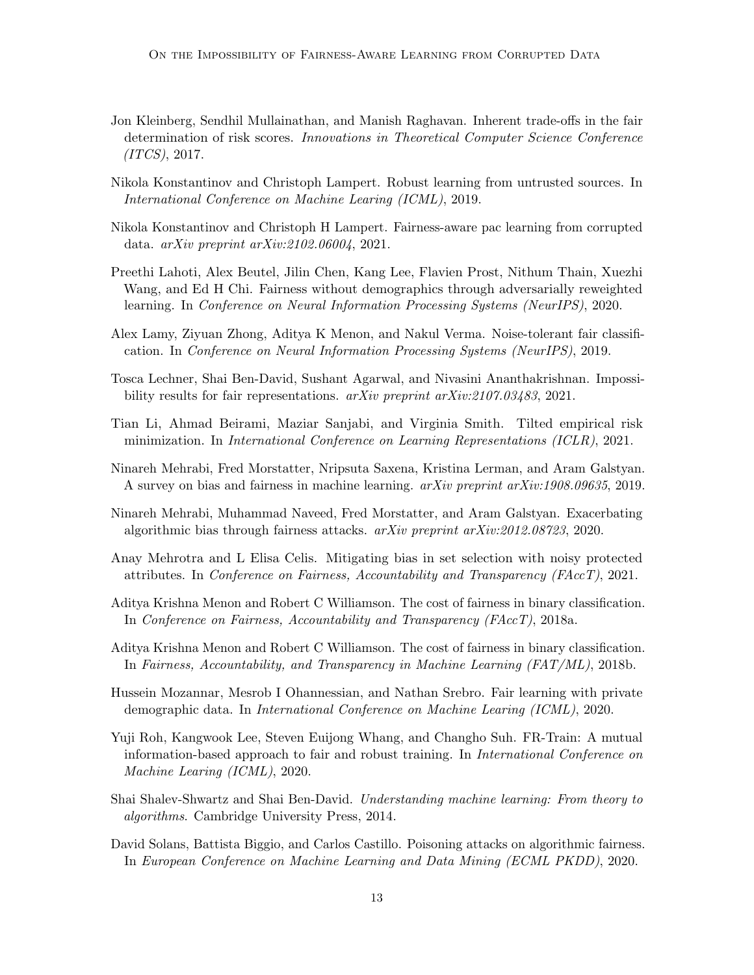- <span id="page-12-2"></span>Jon Kleinberg, Sendhil Mullainathan, and Manish Raghavan. Inherent trade-offs in the fair determination of risk scores. Innovations in Theoretical Computer Science Conference (ITCS), 2017.
- <span id="page-12-14"></span>Nikola Konstantinov and Christoph Lampert. Robust learning from untrusted sources. In International Conference on Machine Learing (ICML), 2019.
- <span id="page-12-1"></span>Nikola Konstantinov and Christoph H Lampert. Fairness-aware pac learning from corrupted data. arXiv preprint arXiv:2102.06004, 2021.
- <span id="page-12-9"></span>Preethi Lahoti, Alex Beutel, Jilin Chen, Kang Lee, Flavien Prost, Nithum Thain, Xuezhi Wang, and Ed H Chi. Fairness without demographics through adversarially reweighted learning. In Conference on Neural Information Processing Systems (NeurIPS), 2020.
- <span id="page-12-6"></span>Alex Lamy, Ziyuan Zhong, Aditya K Menon, and Nakul Verma. Noise-tolerant fair classification. In Conference on Neural Information Processing Systems (NeurIPS), 2019.
- <span id="page-12-11"></span>Tosca Lechner, Shai Ben-David, Sushant Agarwal, and Nivasini Ananthakrishnan. Impossibility results for fair representations. arXiv preprint arXiv:2107.03483, 2021.
- <span id="page-12-10"></span>Tian Li, Ahmad Beirami, Maziar Sanjabi, and Virginia Smith. Tilted empirical risk minimization. In International Conference on Learning Representations (ICLR), 2021.
- <span id="page-12-0"></span>Ninareh Mehrabi, Fred Morstatter, Nripsuta Saxena, Kristina Lerman, and Aram Galstyan. A survey on bias and fairness in machine learning. arXiv preprint arXiv:1908.09635, 2019.
- <span id="page-12-5"></span>Ninareh Mehrabi, Muhammad Naveed, Fred Morstatter, and Aram Galstyan. Exacerbating algorithmic bias through fairness attacks. arXiv preprint arXiv:2012.08723, 2020.
- <span id="page-12-7"></span>Anay Mehrotra and L Elisa Celis. Mitigating bias in set selection with noisy protected attributes. In Conference on Fairness, Accountability and Transparency (FAccT), 2021.
- <span id="page-12-12"></span>Aditya Krishna Menon and Robert C Williamson. The cost of fairness in binary classification. In Conference on Fairness, Accountability and Transparency (FAccT), 2018a.
- <span id="page-12-3"></span>Aditya Krishna Menon and Robert C Williamson. The cost of fairness in binary classification. In Fairness, Accountability, and Transparency in Machine Learning (FAT/ML), 2018b.
- <span id="page-12-8"></span>Hussein Mozannar, Mesrob I Ohannessian, and Nathan Srebro. Fair learning with private demographic data. In International Conference on Machine Learing (ICML), 2020.
- <span id="page-12-15"></span>Yuji Roh, Kangwook Lee, Steven Euijong Whang, and Changho Suh. FR-Train: A mutual information-based approach to fair and robust training. In International Conference on Machine Learing (ICML), 2020.
- <span id="page-12-13"></span>Shai Shalev-Shwartz and Shai Ben-David. Understanding machine learning: From theory to algorithms. Cambridge University Press, 2014.
- <span id="page-12-4"></span>David Solans, Battista Biggio, and Carlos Castillo. Poisoning attacks on algorithmic fairness. In European Conference on Machine Learning and Data Mining (ECML PKDD), 2020.